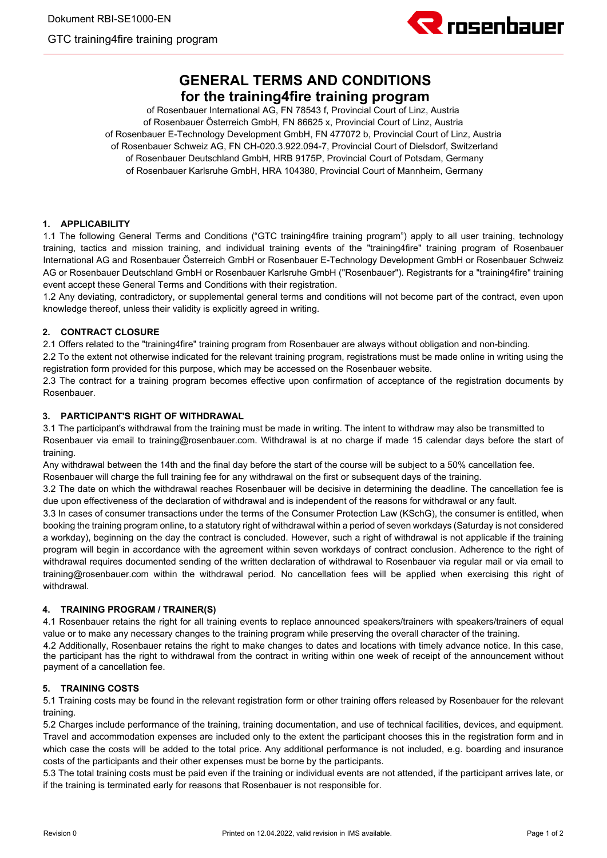

# **GENERAL TERMS AND CONDITIONS for the training4fire training program**

of Rosenbauer International AG, FN 78543 f, Provincial Court of Linz, Austria of Rosenbauer Österreich GmbH, FN 86625 x, Provincial Court of Linz, Austria of Rosenbauer E-Technology Development GmbH, FN 477072 b, Provincial Court of Linz, Austria of Rosenbauer Schweiz AG, FN CH-020.3.922.094-7, Provincial Court of Dielsdorf, Switzerland of Rosenbauer Deutschland GmbH, HRB 9175P, Provincial Court of Potsdam, Germany of Rosenbauer Karlsruhe GmbH, HRA 104380, Provincial Court of Mannheim, Germany

## **1. APPLICABILITY**

1.1 The following General Terms and Conditions ("GTC training4fire training program") apply to all user training, technology training, tactics and mission training, and individual training events of the "training4fire" training program of Rosenbauer International AG and Rosenbauer Österreich GmbH or Rosenbauer E-Technology Development GmbH or Rosenbauer Schweiz AG or Rosenbauer Deutschland GmbH or Rosenbauer Karlsruhe GmbH ("Rosenbauer"). Registrants for a "training4fire" training event accept these General Terms and Conditions with their registration.

1.2 Any deviating, contradictory, or supplemental general terms and conditions will not become part of the contract, even upon knowledge thereof, unless their validity is explicitly agreed in writing.

## **2. CONTRACT CLOSURE**

2.1 Offers related to the "training4fire" training program from Rosenbauer are always without obligation and non-binding.

2.2 To the extent not otherwise indicated for the relevant training program, registrations must be made online in writing using the registration form provided for this purpose, which may be accessed on the Rosenbauer website.

2.3 The contract for a training program becomes effective upon confirmation of acceptance of the registration documents by Rosenbauer.

## **3. PARTICIPANT'S RIGHT OF WITHDRAWAL**

3.1 The participant's withdrawal from the training must be made in writing. The intent to withdraw may also be transmitted to Rosenbauer via email to training@rosenbauer.com. Withdrawal is at no charge if made 15 calendar days before the start of training.

Any withdrawal between the 14th and the final day before the start of the course will be subject to a 50% cancellation fee. Rosenbauer will charge the full training fee for any withdrawal on the first or subsequent days of the training.

3.2 The date on which the withdrawal reaches Rosenbauer will be decisive in determining the deadline. The cancellation fee is due upon effectiveness of the declaration of withdrawal and is independent of the reasons for withdrawal or any fault.

3.3 In cases of consumer transactions under the terms of the Consumer Protection Law (KSchG), the consumer is entitled, when booking the training program online, to a statutory right of withdrawal within a period of seven workdays (Saturday is not considered a workday), beginning on the day the contract is concluded. However, such a right of withdrawal is not applicable if the training program will begin in accordance with the agreement within seven workdays of contract conclusion. Adherence to the right of withdrawal requires documented sending of the written declaration of withdrawal to Rosenbauer via regular mail or via email to training@rosenbauer.com within the withdrawal period. No cancellation fees will be applied when exercising this right of withdrawal.

## **4. TRAINING PROGRAM / TRAINER(S)**

4.1 Rosenbauer retains the right for all training events to replace announced speakers/trainers with speakers/trainers of equal value or to make any necessary changes to the training program while preserving the overall character of the training.

4.2 Additionally, Rosenbauer retains the right to make changes to dates and locations with timely advance notice. In this case, the participant has the right to withdrawal from the contract in writing within one week of receipt of the announcement without payment of a cancellation fee.

## **5. TRAINING COSTS**

5.1 Training costs may be found in the relevant registration form or other training offers released by Rosenbauer for the relevant training.

5.2 Charges include performance of the training, training documentation, and use of technical facilities, devices, and equipment. Travel and accommodation expenses are included only to the extent the participant chooses this in the registration form and in which case the costs will be added to the total price. Any additional performance is not included, e.g. boarding and insurance costs of the participants and their other expenses must be borne by the participants.

5.3 The total training costs must be paid even if the training or individual events are not attended, if the participant arrives late, or if the training is terminated early for reasons that Rosenbauer is not responsible for.